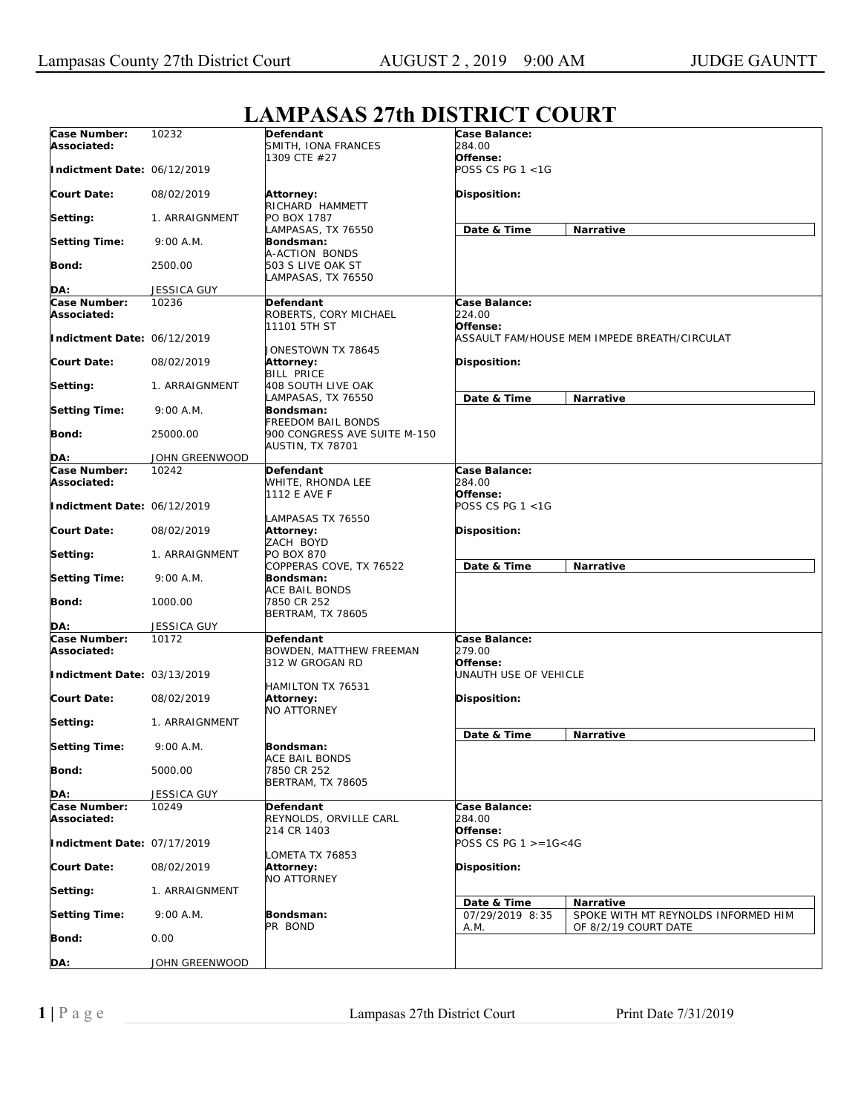## **LAMPASAS 27th DISTRICT COURT**

|                                    |                    | $\mathbf{H}$                                            |                                              |                                                                          |  |
|------------------------------------|--------------------|---------------------------------------------------------|----------------------------------------------|--------------------------------------------------------------------------|--|
| Case Number:<br>Associated:        | 10232              | Defendant<br>SMITH, IONA FRANCES                        | Case Balance:<br>284.00                      |                                                                          |  |
| Indictment Date: 06/12/2019        |                    | 1309 CTE #27                                            | Offense:<br>POSS CS PG 1 <1G                 |                                                                          |  |
| <b>Court Date:</b>                 | 08/02/2019         | Attorney:<br>RICHARD HAMMETT                            | Disposition:                                 |                                                                          |  |
| Setting:                           | 1. ARRAIGNMENT     | PO BOX 1787                                             |                                              |                                                                          |  |
| <b>Setting Time:</b>               | 9:00 A.M.          | LAMPASAS, TX 76550<br>Bondsman:<br>A-ACTION BONDS       | Date & Time<br>Narrative                     |                                                                          |  |
| Bond:                              | 2500.00            | 503 S LIVE OAK ST<br>LAMPASAS, TX 76550                 |                                              |                                                                          |  |
| DA:                                | <b>JESSICA GUY</b> |                                                         |                                              |                                                                          |  |
| Case Number:                       | 10236              | Defendant                                               | Case Balance:                                |                                                                          |  |
| Associated:                        |                    | ROBERTS, CORY MICHAEL<br>11101 5TH ST                   | <i>224.00</i><br>Offense:                    |                                                                          |  |
| Indictment Date: 06/12/2019        |                    | JONESTOWN TX 78645                                      | ASSAULT FAM/HOUSE MEM IMPEDE BREATH/CIRCULAT |                                                                          |  |
| <b>Court Date:</b>                 | 08/02/2019         | Attorney:<br><b>BILL PRICE</b>                          | Disposition:                                 |                                                                          |  |
| Setting:                           | 1. ARRAIGNMENT     | 408 SOUTH LIVE OAK<br>LAMPASAS, TX 76550                | Date & Time<br>Narrative                     |                                                                          |  |
| <b>Setting Time:</b>               | 9:00 A.M.          | Bondsman:<br><b>FREEDOM BAIL BONDS</b>                  |                                              |                                                                          |  |
| Bond:                              | 25000.00           | 900 CONGRESS AVE SUITE M-150<br><b>AUSTIN, TX 78701</b> |                                              |                                                                          |  |
| DA:                                | JOHN GREENWOOD     |                                                         |                                              |                                                                          |  |
| Case Number:                       | 10242              | Defendant                                               | Case Balance:                                |                                                                          |  |
| Associated:                        |                    | WHITE, RHONDA LEE                                       | 284.00                                       |                                                                          |  |
| Indictment Date: 06/12/2019        |                    | 1112 E AVE F                                            | Offense:<br>POSS CS PG 1 <1G                 |                                                                          |  |
| <b>Court Date:</b>                 | 08/02/2019         | LAMPASAS TX 76550<br><b>Attorney:</b><br>ZACH BOYD      | Disposition:                                 |                                                                          |  |
| Setting:                           | 1. ARRAIGNMENT     | PO BOX 870<br>COPPERAS COVE, TX 76522                   | Date & Time                                  | Narrative                                                                |  |
| <b>Setting Time:</b>               | 9:00 A.M.          | Bondsman:<br>ACE BAIL BONDS                             |                                              |                                                                          |  |
| Bond:                              | 1000.00            | 7850 CR 252<br><b>BERTRAM, TX 78605</b>                 |                                              |                                                                          |  |
| DA:                                | JESSICA GUY        |                                                         |                                              |                                                                          |  |
| <b>Case Number:</b><br>Associated: | 10172              | Defendant<br>BOWDEN, MATTHEW FREEMAN                    | Case Balance:<br>279.00                      |                                                                          |  |
| Indictment Date: 03/13/2019        |                    | 312 W GROGAN RD                                         | Offense:<br>UNAUTH USE OF VEHICLE            |                                                                          |  |
| <b>Court Date:</b>                 | 08/02/2019         | HAMILTON TX 76531<br>Attorney:                          | Disposition:                                 |                                                                          |  |
| Setting:                           | 1. ARRAIGNMENT     | <b>NO ATTORNEY</b>                                      |                                              |                                                                          |  |
| <b>Setting Time:</b>               | 9:00 A.M.          | Bondsman:                                               | Date & Time                                  | Narrative                                                                |  |
| Bond:                              | 5000.00            | <b>ACE BAIL BONDS</b><br>7850 CR 252                    |                                              |                                                                          |  |
| DA:                                | JESSICA GUY        | BERTRAM, TX 78605                                       |                                              |                                                                          |  |
| <b>Case Number:</b><br>Associated: | 10249              | Defendant<br>REYNOLDS, ORVILLE CARL                     | Case Balance:<br>284.00                      |                                                                          |  |
| Indictment Date: 07/17/2019        |                    | 214 CR 1403                                             | Offense:<br>POSS CS PG $1 > = 16 < 4G$       |                                                                          |  |
| <b>Court Date:</b>                 | 08/02/2019         | OMETA TX 76853<br>Attorney:<br><b>NO ATTORNEY</b>       | Disposition:                                 |                                                                          |  |
| Setting:                           | 1. ARRAIGNMENT     |                                                         |                                              |                                                                          |  |
| <b>Setting Time:</b>               | 9:00 A.M.          | Bondsman:<br>PR BOND                                    | Date & Time<br>07/29/2019 8:35<br>A.M.       | Narrative<br>SPOKE WITH MT REYNOLDS INFORMED HIM<br>OF 8/2/19 COURT DATE |  |
| Bond:                              | 0.00               |                                                         |                                              |                                                                          |  |
| DA:                                | JOHN GREENWOOD     |                                                         |                                              |                                                                          |  |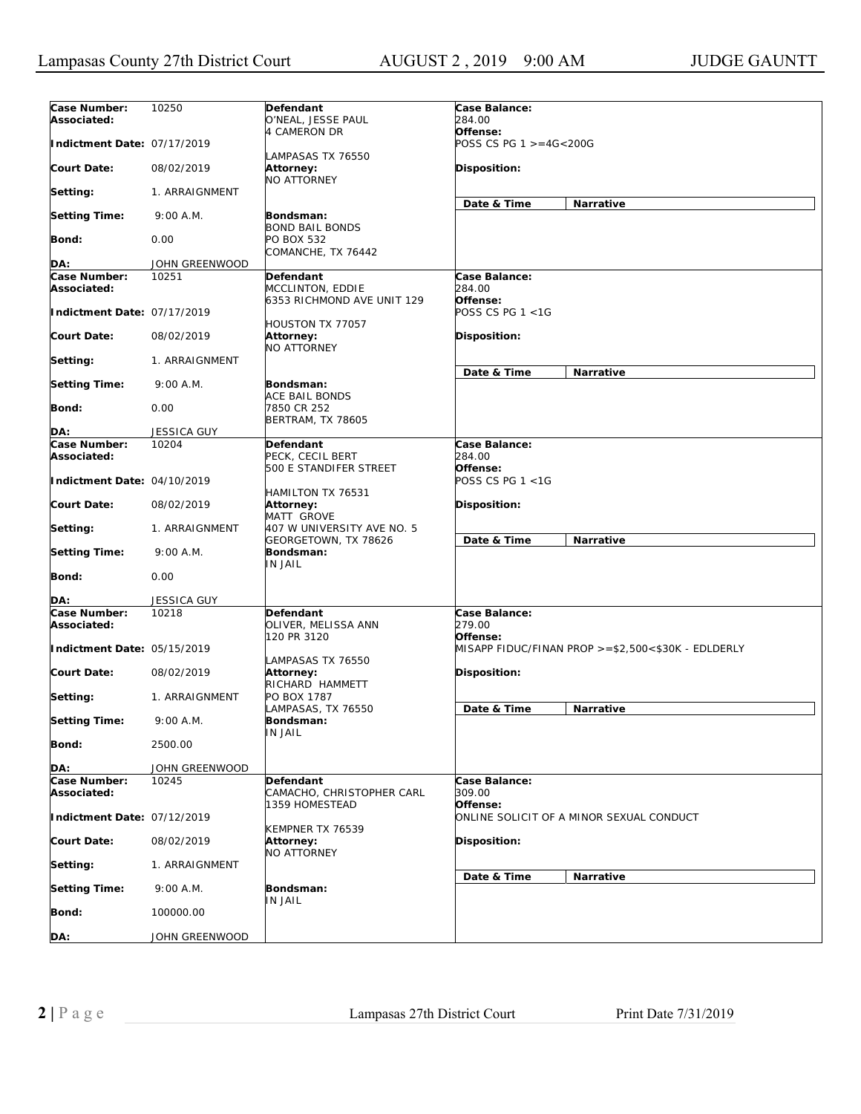| Case Number:<br>Associated:                | 10250              | Defendant<br>O'NEAL, JESSE PAUL                    | Case Balance:<br><i>284.00</i>           |                                                    |
|--------------------------------------------|--------------------|----------------------------------------------------|------------------------------------------|----------------------------------------------------|
| Indictment Date: 07/17/2019                |                    | 4 CAMERON DR                                       | Offense:<br>POSS CS PG $1 > = 4G < 200G$ |                                                    |
| <b>Court Date:</b>                         | 08/02/2019         | LAMPASAS TX 76550<br>Attorney:                     | Disposition:                             |                                                    |
| Setting:                                   | 1. ARRAIGNMENT     | NO ATTORNEY                                        |                                          |                                                    |
| <b>Setting Time:</b>                       | 9:00 A.M.          | Bondsman:                                          | Date & Time                              | Narrative                                          |
| Bond:                                      | 0.00               | <b>BOND BAIL BONDS</b><br><b>PO BOX 532</b>        |                                          |                                                    |
| DA:                                        | JOHN GREENWOOD     | COMANCHE, TX 76442                                 |                                          |                                                    |
| <b>Case Number:</b>                        | 10251              | Defendant                                          | Case Balance:                            |                                                    |
| Associated:                                |                    | MCCLINTON, EDDIE<br>6353 RICHMOND AVE UNIT 129     | 284.00<br>Offense:                       |                                                    |
| Indictment Date: 07/17/2019                |                    | <b>HOUSTON TX 77057</b>                            | POSS CS PG 1 <1G                         |                                                    |
| <b>Court Date:</b>                         | 08/02/2019         | Attorney:<br>NO ATTORNEY                           | Disposition:                             |                                                    |
| Setting:                                   | 1. ARRAIGNMENT     |                                                    | Date & Time                              | Narrative                                          |
| <b>Setting Time:</b>                       | 9:00 A.M.          | Bondsman:                                          |                                          |                                                    |
| Bond:                                      | 0.00               | ACE BAIL BONDS<br>7850 CR 252<br>BERTRAM, TX 78605 |                                          |                                                    |
| DA:                                        | <b>JESSICA GUY</b> |                                                    |                                          |                                                    |
| Case Number:                               | 10204              | Defendant                                          | Case Balance:                            |                                                    |
| Associated:<br>Indictment Date: 04/10/2019 |                    | PECK, CECIL BERT<br>500 E STANDIFER STREET         | 284.00<br>Offense:<br>POSS CS PG 1 <1G   |                                                    |
| <b>Court Date:</b>                         | 08/02/2019         | HAMILTON TX 76531<br>Attorney:                     | Disposition:                             |                                                    |
|                                            |                    | MATT GROVE                                         |                                          |                                                    |
| Setting:                                   | 1. ARRAIGNMENT     | 407 W UNIVERSITY AVE NO. 5<br>GEORGETOWN, TX 78626 | Date & Time                              | Narrative                                          |
| <b>Setting Time:</b>                       | 9:00 A.M.          | Bondsman:<br>IN JAIL                               |                                          |                                                    |
| Bond:                                      | 0.00               |                                                    |                                          |                                                    |
| DA.                                        | JESSICA GUY        |                                                    |                                          |                                                    |
| <b>Case Number:</b><br>Associated:         | 10218              | Defendant<br>OLIVER, MELISSA ANN                   | Case Balance:<br>279.00                  |                                                    |
| Indictment Date: 05/15/2019                |                    | 120 PR 3120                                        | Offense:                                 | MISAPP FIDUC/FINAN PROP >=\$2,500<\$30K - EDLDERLY |
| <b>Court Date:</b>                         | 08/02/2019         | LAMPASAS TX 76550<br><b>Attorney:</b>              | Disposition:                             |                                                    |
| Setting:                                   | 1. ARRAIGNMENT     | RICHARD HAMMETT<br>PO BOX 1787                     |                                          |                                                    |
| <b>Setting Time:</b>                       | 9:00 A.M.          | LAMPASAS, TX 76550<br>Bondsman:                    | Date & Time                              | Narrative                                          |
| Bond:                                      | 2500.00            | <b>IN JAIL</b>                                     |                                          |                                                    |
| DA:                                        | JOHN GREENWOOD     |                                                    |                                          |                                                    |
| Case Number:                               | 10245              | Defendant                                          | Case Balance:                            |                                                    |
| Associated:                                |                    | CAMACHO, CHRISTOPHER CARL                          | <i>309.00</i>                            |                                                    |
| Indictment Date: 07/12/2019                |                    | 1359 HOMESTEAD                                     | Offense:                                 | ONLINE SOLICIT OF A MINOR SEXUAL CONDUCT           |
| <b>Court Date:</b>                         | 08/02/2019         | KEMPNER TX 76539<br>Attorney:<br>NO ATTORNEY       | Disposition:                             |                                                    |
| Setting:                                   | 1. ARRAIGNMENT     |                                                    |                                          |                                                    |
| <b>Setting Time:</b>                       | 9:00 A.M.          | Bondsman:                                          | Date & Time                              | Narrative                                          |
| Bond:                                      | 100000.00          | IN JAIL                                            |                                          |                                                    |
| DA:                                        | JOHN GREENWOOD     |                                                    |                                          |                                                    |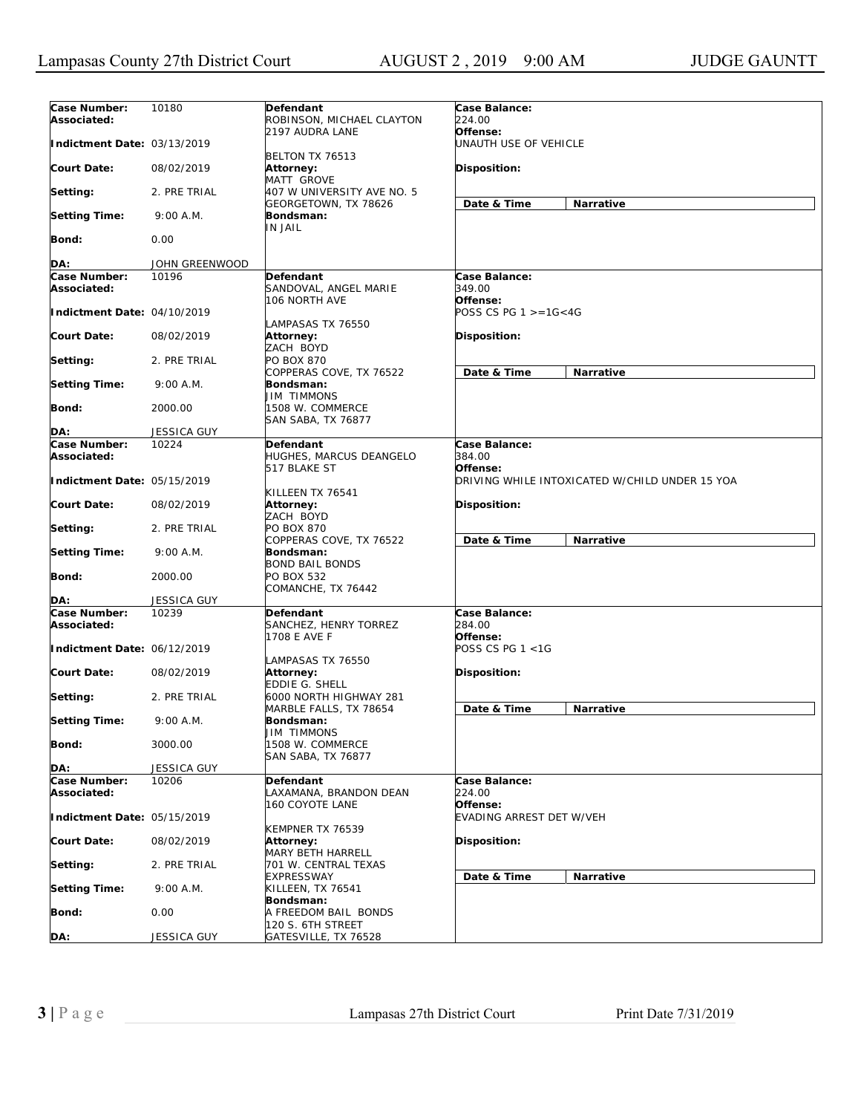| Case Number:<br>Associated: | 10180              | Defendant<br>ROBINSON, MICHAEL CLAYTON               | Case Balance:<br>224.00                        |  |
|-----------------------------|--------------------|------------------------------------------------------|------------------------------------------------|--|
| Indictment Date: 03/13/2019 |                    | 2197 AUDRA LANE                                      | Offense:<br>UNAUTH USE OF VEHICLE              |  |
| <b>Court Date:</b>          | 08/02/2019         | BELTON TX 76513<br><b>Attorney:</b><br>MATT GROVE    | Disposition:                                   |  |
| Setting:                    | 2. PRE TRIAL       | 407 W UNIVERSITY AVE NO. 5<br>GEORGETOWN, TX 78626   | Date & Time<br>Narrative                       |  |
| <b>Setting Time:</b>        | 9:00 A.M.          | Bondsman:<br>IN JAIL                                 |                                                |  |
| Bond:                       | 0.00               |                                                      |                                                |  |
| DA:                         | JOHN GREENWOOD     |                                                      |                                                |  |
| Case Number:                | 10196              | Defendant                                            | Case Balance:                                  |  |
| Associated:                 |                    | SANDOVAL, ANGEL MARIE<br>106 NORTH AVE               | 349.00<br>Offense:                             |  |
| Indictment Date: 04/10/2019 |                    | LAMPASAS TX 76550                                    | POSS CS PG $1 > = 16 < 4G$                     |  |
| <b>Court Date:</b>          | 08/02/2019         | Attorney:<br>ZACH BOYD                               | Disposition:                                   |  |
| Setting:                    | 2. PRE TRIAL       | PO BOX 870<br>COPPERAS COVE, TX 76522                | Date & Time<br>Narrative                       |  |
| <b>Setting Time:</b>        | 9:00 A.M.          | Bondsman:<br>JIM TIMMONS                             |                                                |  |
| Bond:                       | 2000.00            | 1508 W. COMMERCE<br>SAN SABA, TX 76877               |                                                |  |
| DA:                         | <b>JESSICA GUY</b> |                                                      |                                                |  |
| Case Number:<br>Associated: | 10224              | Defendant<br>HUGHES, MARCUS DEANGELO<br>517 BLAKE ST | Case Balance:<br>384.00<br>Offense:            |  |
| Indictment Date: 05/15/2019 |                    | KILLEEN TX 76541                                     | DRIVING WHILE INTOXICATED W/CHILD UNDER 15 YOA |  |
| <b>Court Date:</b>          | 08/02/2019         | Attorney:<br>ZACH BOYD                               | Disposition:                                   |  |
| Setting:                    | 2. PRE TRIAL       | PO BOX 870<br>COPPERAS COVE, TX 76522                | Date & Time<br>Narrative                       |  |
| <b>Setting Time:</b>        | 9:00 A.M.          | Bondsman:<br><b>BOND BAIL BONDS</b>                  |                                                |  |
| Bond:                       | 2000.00            | PO BOX 532<br>COMANCHE, TX 76442                     |                                                |  |
| DA:                         | <b>JESSICA GUY</b> |                                                      |                                                |  |
| Case Number:<br>Associated: | 10239              | Defendant<br>SANCHEZ, HENRY TORREZ<br>1708 E AVE F   | Case Balance:<br>284.00<br>Offense:            |  |
| Indictment Date: 06/12/2019 |                    | LAMPASAS TX 76550                                    | POSS CS PG 1 <1G                               |  |
| <b>Court Date:</b>          | 08/02/2019         | Attorney:<br>EDDIE G. SHELL                          | Disposition:                                   |  |
| Setting:                    | 2. PRE TRIAL       | 6000 NORTH HIGHWAY 281<br>MARBLE FALLS, TX 78654     | Date & Time<br>Narrative                       |  |
| <b>Setting Time:</b>        | 9:00 A.M.          | Bondsman:<br><b>JIM TIMMONS</b>                      |                                                |  |
| <b>Bond:</b>                | 3000.00            | 1508 W. COMMERCE<br><b>SAN SABA, TX 76877</b>        |                                                |  |
| DA:                         | JESSICA GUY        |                                                      |                                                |  |
| Case Number:                | 10206              | Defendant                                            | Case Balance:                                  |  |
| Associated:                 |                    | LAXAMANA, BRANDON DEAN<br>160 COYOTE LANE            | 224.00<br>Offense:                             |  |
| Indictment Date: 05/15/2019 |                    | KEMPNER TX 76539                                     | EVADING ARREST DET W/VEH                       |  |
| <b>Court Date:</b>          | 08/02/2019         | <b>Attorney:</b><br>MARY BETH HARRELL                | Disposition:                                   |  |
| Setting:                    | 2. PRE TRIAL       | 701 W. CENTRAL TEXAS<br><b>EXPRESSWAY</b>            | Date & Time<br>Narrative                       |  |
| <b>Setting Time:</b>        | 9:00 A.M.          | KILLEEN, TX 76541<br>Bondsman:                       |                                                |  |
| <b>Bond:</b>                | 0.00               | A FREEDOM BAIL BONDS<br>120 S. 6TH STREET            |                                                |  |
| DA:                         | JESSICA GUY        | GATESVILLE, TX 76528                                 |                                                |  |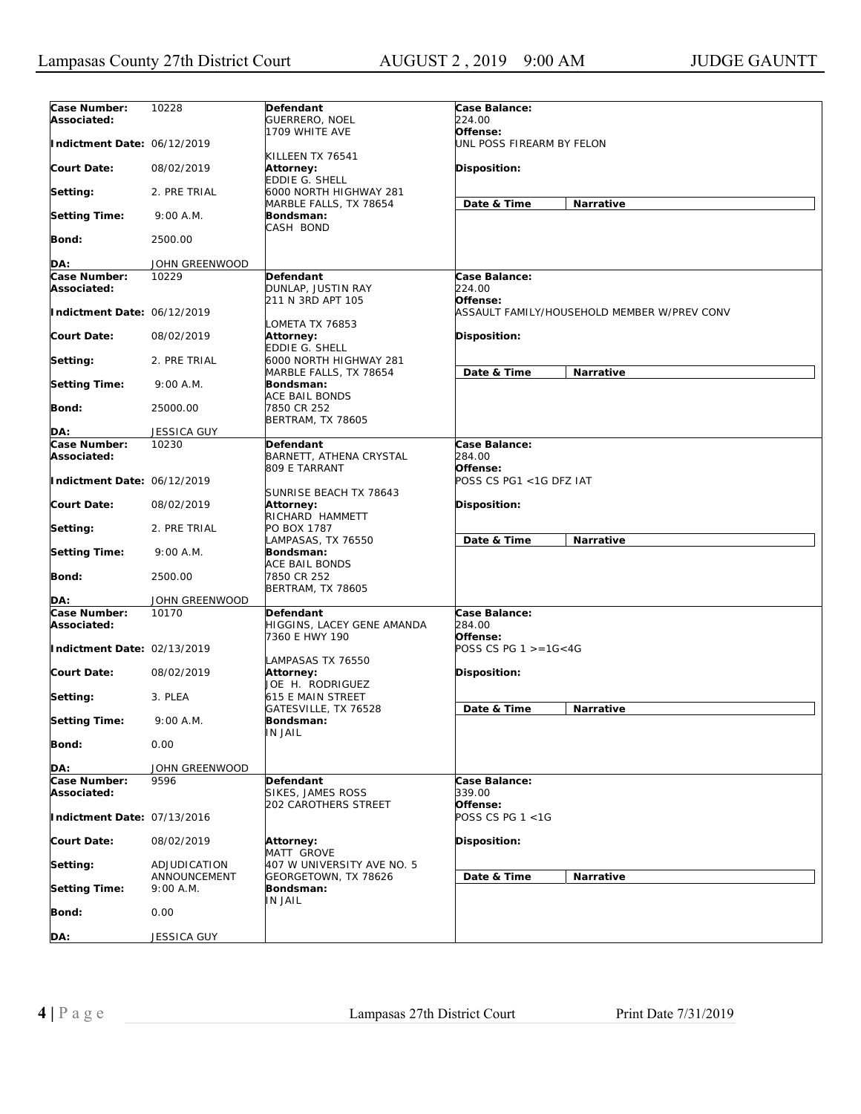| Case Number:                       | 10228                     | Defendant                                                 | Case Balance:                               |  |
|------------------------------------|---------------------------|-----------------------------------------------------------|---------------------------------------------|--|
| Associated:                        |                           | <b>GUERRERO, NOEL</b>                                     | 224.00                                      |  |
| Indictment Date: 06/12/2019        |                           | 1709 WHITE AVE                                            | Offense:                                    |  |
|                                    |                           | KILLEEN TX 76541                                          | UNL POSS FIREARM BY FELON                   |  |
| <b>Court Date:</b>                 | 08/02/2019                | Attorney:                                                 | Disposition:                                |  |
| Setting:                           | 2. PRE TRIAL              | EDDIE G. SHELL<br>6000 NORTH HIGHWAY 281                  |                                             |  |
| <b>Setting Time:</b>               | 9:00 A.M.                 | MARBLE FALLS, TX 78654<br>Bondsman:                       | Date & Time<br>Narrative                    |  |
|                                    |                           | CASH BOND                                                 |                                             |  |
| Bond:                              | 2500.00                   |                                                           |                                             |  |
| DA:                                | JOHN GREENWOOD            |                                                           |                                             |  |
| Case Number:                       | 10229                     | Defendant                                                 | Case Balance:                               |  |
| Associated:                        |                           | DUNLAP, JUSTIN RAY<br>211 N 3RD APT 105                   | 224.00<br>Offense:                          |  |
| Indictment Date: 06/12/2019        |                           |                                                           | ASSAULT FAMILY/HOUSEHOLD MEMBER W/PREV CONV |  |
| <b>Court Date:</b>                 | 08/02/2019                | LOMETA TX 76853<br>Attorney:                              | Disposition:                                |  |
| Setting:                           | 2. PRE TRIAL              | EDDIE G. SHELL<br>6000 NORTH HIGHWAY 281                  |                                             |  |
| <b>Setting Time:</b>               | 9:00 A.M.                 | MARBLE FALLS, TX 78654<br>Bondsman:                       | Date & Time<br>Narrative                    |  |
|                                    |                           | ACE BAIL BONDS                                            |                                             |  |
| Bond:                              | 25000.00                  | 7850 CR 252<br>BERTRAM, TX 78605                          |                                             |  |
| DA:                                | JESSICA GUY               |                                                           |                                             |  |
| Case Number:                       | 10230                     | Defendant                                                 | Case Balance:                               |  |
| Associated:                        |                           | BARNETT, ATHENA CRYSTAL                                   | <i>284.00</i>                               |  |
| Indictment Date: 06/12/2019        |                           | 809 E TARRANT                                             | Offense:<br>POSS CS PG1 <1G DFZ IAT         |  |
| <b>Court Date:</b>                 | 08/02/2019                | SUNRISE BEACH TX 78643<br>Attorney:                       | Disposition:                                |  |
| Setting:                           | 2. PRE TRIAL              | RICHARD HAMMETT<br>PO BOX 1787                            |                                             |  |
| <b>Setting Time:</b>               | 9:00 A.M.                 | LAMPASAS, TX 76550<br>Bondsman:                           | Date & Time<br>Narrative                    |  |
|                                    |                           | ACE BAIL BONDS                                            |                                             |  |
| Bond:                              | 2500.00                   | 7850 CR 252<br>BERTRAM, TX 78605                          |                                             |  |
| DA:                                | JOHN GREENWOOD            |                                                           |                                             |  |
| <b>Case Number:</b><br>Associated: | 10170                     | Defendant<br>HIGGINS, LACEY GENE AMANDA<br>7360 E HWY 190 | Case Balance:<br>284.00                     |  |
| Indictment Date: 02/13/2019        |                           |                                                           | Offense:<br>POSS CS PG $1 > = 16 < 4G$      |  |
| <b>Court Date:</b>                 | 08/02/2019                | LAMPASAS TX 76550<br>Attorney:                            | Disposition:                                |  |
|                                    |                           | JOE H. RODRIGUEZ                                          |                                             |  |
| Setting:                           | 3. PLEA                   | 615 E MAIN STREET<br>GATESVILLE, TX 76528                 | Date & Time<br>Narrative                    |  |
| <b>Setting Time:</b>               | 9:00 A.M.                 | Bondsman:<br><b>IN JAIL</b>                               |                                             |  |
| Bond:                              | 0.00                      |                                                           |                                             |  |
| DA:                                | JOHN GREENWOOD            |                                                           |                                             |  |
| <b>Case Number:</b><br>Associated: | 9596                      | Defendant<br>SIKES, JAMES ROSS                            | Case Balance:<br>339.00                     |  |
| Indictment Date: 07/13/2016        |                           | 202 CAROTHERS STREET                                      | Offense:<br>POSS CS PG 1 <1G                |  |
| <b>Court Date:</b>                 | 08/02/2019                | Attorney:<br><b>MATT GROVE</b>                            | Disposition:                                |  |
| Setting:                           | ADJUDICATION              | 407 W UNIVERSITY AVE NO. 5                                |                                             |  |
| <b>Setting Time:</b>               | ANNOUNCEMENT<br>9:00 A.M. | GEORGETOWN, TX 78626<br>Bondsman:                         | Date & Time<br>Narrative                    |  |
| Bond:                              | 0.00                      | IN JAIL                                                   |                                             |  |
|                                    |                           |                                                           |                                             |  |
| DA:                                | JESSICA GUY               |                                                           |                                             |  |